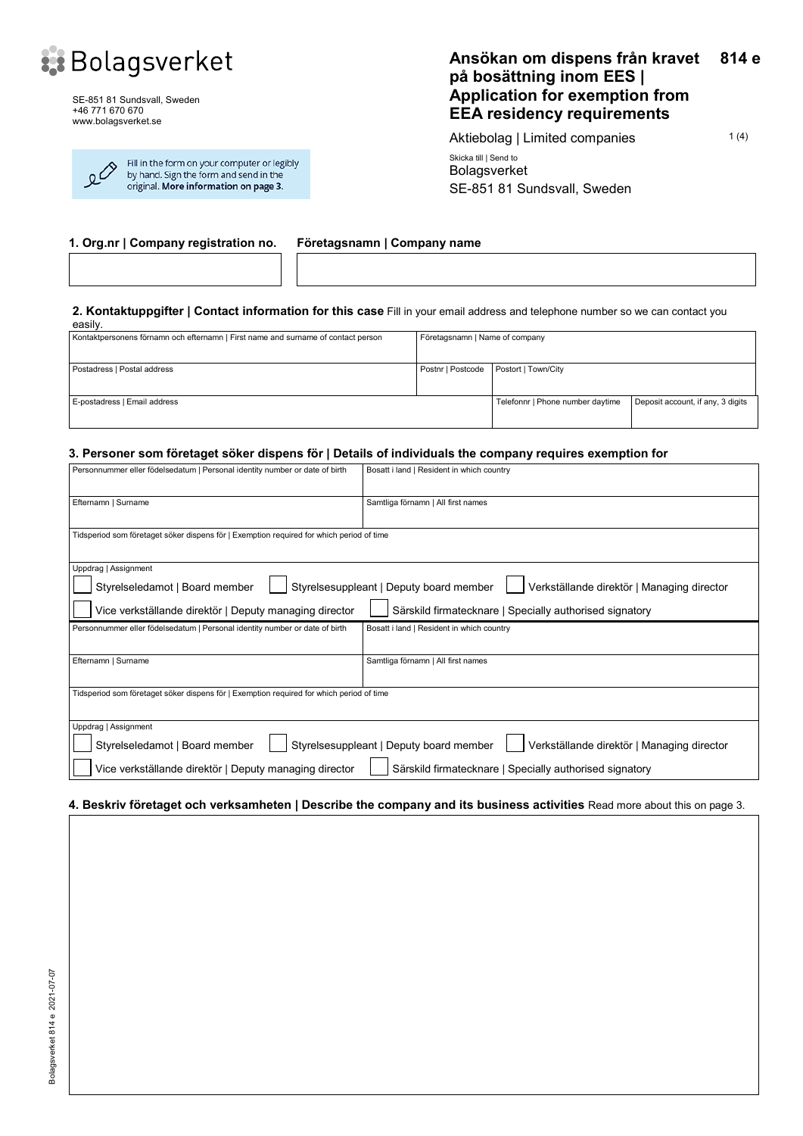

SE-851 81 Sundsvall, Sweden +46 771 670 670 www.bolagsverket.se

| Fill in the form on your computer or legibly<br>$\Omega^{\nearrow}$<br>by hand. Sign the form and send in the<br>original. More information on page 3. |  |
|--------------------------------------------------------------------------------------------------------------------------------------------------------|--|
|                                                                                                                                                        |  |

#### **Ansökan om dispens från kravet på bosättning inom EES | Application for exemption from EEA residency requirements 814 e**

Aktiebolag | Limited companies 1(4) Skicka till | Send to Bolagsverket SE-851 81 Sundsvall, Sweden

#### **1. Org.nr | Company registration no. Företagsnamn | Company name**

#### **2. Kontaktuppgifter | Contact information for this case** Fill in your email address and telephone number so we can contact you

| easily.                                                                           |                                         |                                  |                                   |  |
|-----------------------------------------------------------------------------------|-----------------------------------------|----------------------------------|-----------------------------------|--|
| Kontaktpersonens förnamn och efternamn   First name and surname of contact person | Företagsnamn   Name of company          |                                  |                                   |  |
|                                                                                   |                                         |                                  |                                   |  |
|                                                                                   |                                         |                                  |                                   |  |
| Postadress   Postal address                                                       | Postnr   Postcode   Postort   Town/City |                                  |                                   |  |
|                                                                                   |                                         |                                  |                                   |  |
|                                                                                   |                                         |                                  |                                   |  |
| E-postadress   Email address                                                      |                                         | Telefonnr   Phone number daytime | Deposit account, if any, 3 digits |  |
|                                                                                   |                                         |                                  |                                   |  |
|                                                                                   |                                         |                                  |                                   |  |

#### **3. Personer som företaget söker dispens för | Details of individuals the company requires exemption for**

| Personnummer eller födelsedatum   Personal identity number or date of birth                                                                                                                                                                                          | Bosatt i land   Resident in which country |  |  |  |  |
|----------------------------------------------------------------------------------------------------------------------------------------------------------------------------------------------------------------------------------------------------------------------|-------------------------------------------|--|--|--|--|
| Efternamn   Surname                                                                                                                                                                                                                                                  | Samtliga förnamn   All first names        |  |  |  |  |
| Tidsperiod som företaget söker dispens för   Exemption required for which period of time                                                                                                                                                                             |                                           |  |  |  |  |
| Uppdrag   Assignment<br>Styrelsesuppleant   Deputy board member<br>Styrelseledamot   Board member<br>Verkställande direktör   Managing director<br>Vice verkställande direktör   Deputy managing director<br>Särskild firmatecknare   Specially authorised signatory |                                           |  |  |  |  |
| Personnummer eller födelsedatum   Personal identity number or date of birth                                                                                                                                                                                          | Bosatt i land   Resident in which country |  |  |  |  |
| Efternamn   Surname                                                                                                                                                                                                                                                  | Samtliga förnamn   All first names        |  |  |  |  |
| Tidsperiod som företaget söker dispens för   Exemption required for which period of time                                                                                                                                                                             |                                           |  |  |  |  |
| Uppdrag   Assignment<br>Styrelsesuppleant   Deputy board member<br>Styrelseledamot   Board member<br>Verkställande direktör   Managing director                                                                                                                      |                                           |  |  |  |  |
| Vice verkställande direktör   Deputy managing director<br>Särskild firmatecknare   Specially authorised signatory                                                                                                                                                    |                                           |  |  |  |  |

#### **4. Beskriv företaget och verksamheten | Describe the company and its business activities** Read more about this on page 3.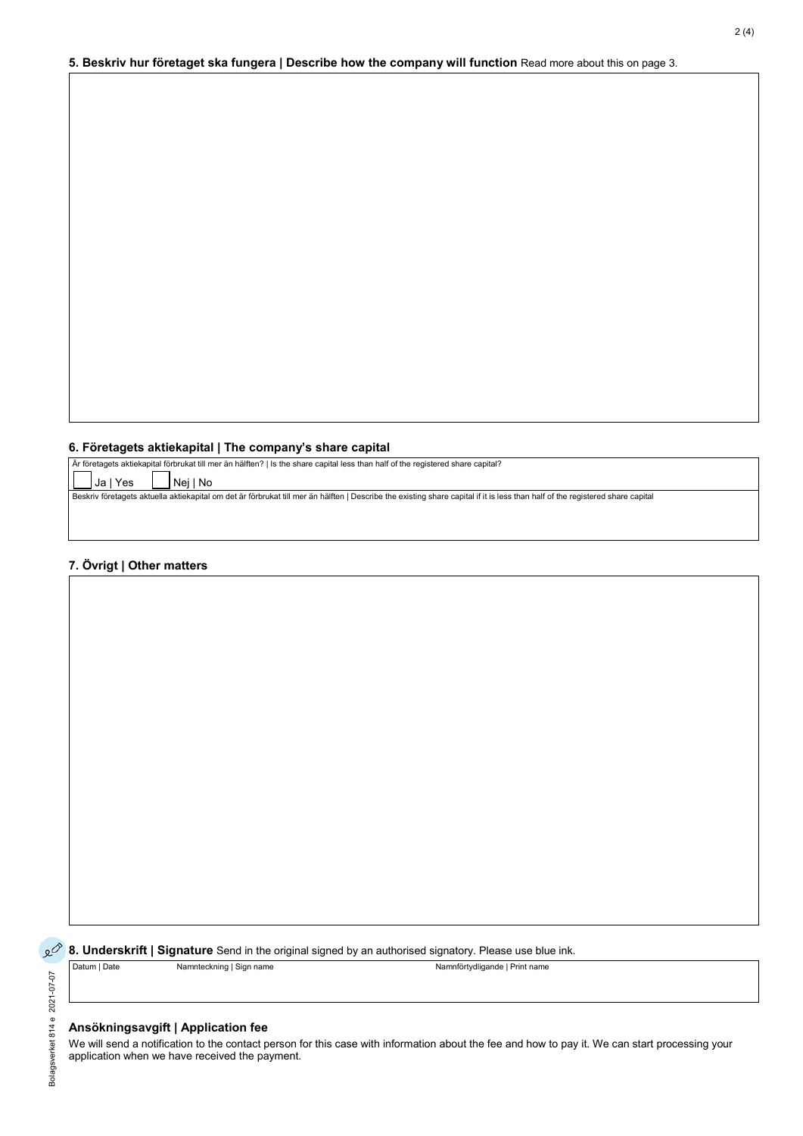#### **6. Företagets aktiekapital | The company's share capital**

| Ar företagets aktiekapital förbrukat till mer än hälften?   Is the share capital less than half of the registered share capital?                                               |
|--------------------------------------------------------------------------------------------------------------------------------------------------------------------------------|
| $\begin{bmatrix} \Box \end{bmatrix}$ Ja   Yes<br>IINeilNo                                                                                                                      |
| Beskriv företagets aktuella aktiekapital om det är förbrukat till mer än hälften   Describe the existing share capital if it is less than half of the registered share capital |
|                                                                                                                                                                                |
|                                                                                                                                                                                |

### **7. Övrigt | Other matters**

Bolagsverket 814 e 2021-07-07

Bolagsverket 814 e 2021-07-07

**8. Underskrift | Signature** Send in the original signed by an authorised signatory. Please use blue ink. Datum | Date Namnteckning | Sign name Namnförtydligande | Print name

#### **Ansökningsavgift | Application fee**

We will send a notification to the contact person for this case with information about the fee and how to pay it. We can start processing your application when we have received the payment.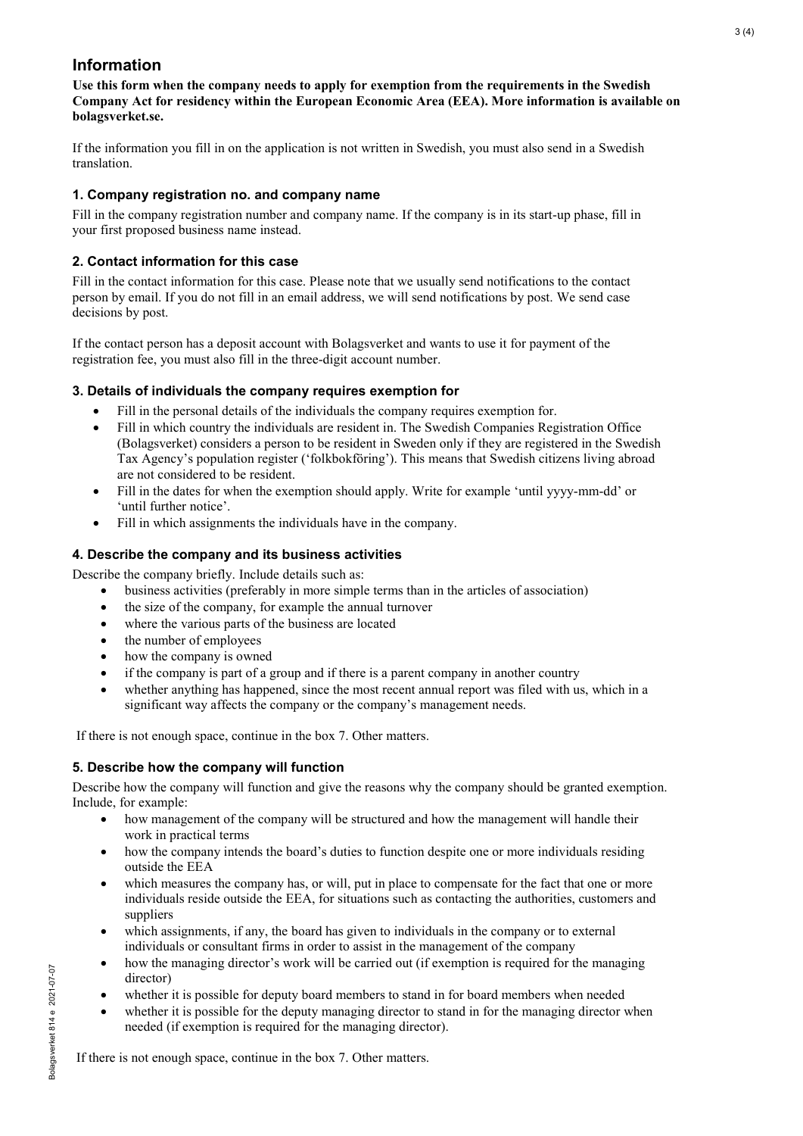# **Information**

**Use this form when the company needs to apply for exemption from the requirements in the Swedish Company Act for residency within the European Economic Area (EEA). More information is available on bolagsverket.se.** 

If the information you fill in on the application is not written in Swedish, you must also send in a Swedish translation.

## **1. Company registration no. and company name**

Fill in the company registration number and company name. If the company is in its start-up phase, fill in your first proposed business name instead.

# **2. Contact information for this case**

Fill in the contact information for this case. Please note that we usually send notifications to the contact person by email. If you do not fill in an email address, we will send notifications by post. We send case decisions by post.

If the contact person has a deposit account with Bolagsverket and wants to use it for payment of the registration fee, you must also fill in the three-digit account number.

### **3. Details of individuals the company requires exemption for**

- Fill in the personal details of the individuals the company requires exemption for.
- Fill in which country the individuals are resident in. The Swedish Companies Registration Office (Bolagsverket) considers a person to be resident in Sweden only if they are registered in the Swedish Tax Agency's population register ('folkbokföring'). This means that Swedish citizens living abroad are not considered to be resident.
- Fill in the dates for when the exemption should apply. Write for example 'until yyyy-mm-dd' or 'until further notice'.
- Fill in which assignments the individuals have in the company.

# **4. Describe the company and its business activities**

Describe the company briefly. Include details such as:

- business activities (preferably in more simple terms than in the articles of association)
- the size of the company, for example the annual turnover
- where the various parts of the business are located
- the number of employees
- how the company is owned
- if the company is part of a group and if there is a parent company in another country
- whether anything has happened, since the most recent annual report was filed with us, which in a significant way affects the company or the company's management needs.

If there is not enough space, continue in the box 7. Other matters.

# **5. Describe how the company will function**

Describe how the company will function and give the reasons why the company should be granted exemption. Include, for example:

- how management of the company will be structured and how the management will handle their work in practical terms
- how the company intends the board's duties to function despite one or more individuals residing outside the EEA
- which measures the company has, or will, put in place to compensate for the fact that one or more individuals reside outside the EEA, for situations such as contacting the authorities, customers and suppliers
- which assignments, if any, the board has given to individuals in the company or to external individuals or consultant firms in order to assist in the management of the company
- how the managing director's work will be carried out (if exemption is required for the managing director)
- whether it is possible for deputy board members to stand in for board members when needed
- whether it is possible for the deputy managing director to stand in for the managing director when needed (if exemption is required for the managing director).

If there is not enough space, continue in the box 7. Other matters.